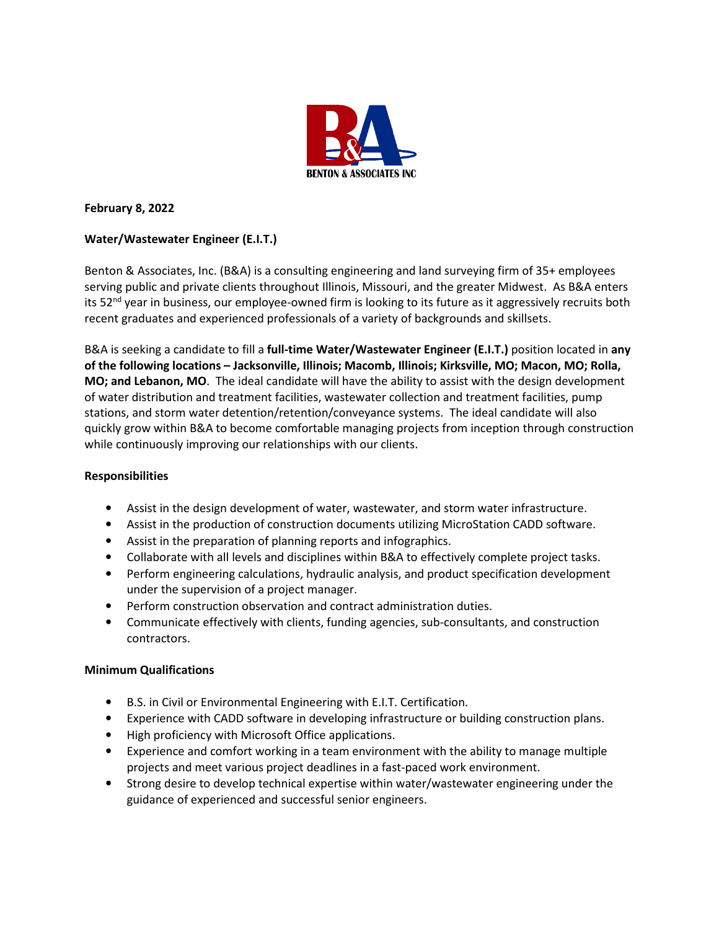

## **February 8, 2022**

# **Water/Wastewater Engineer (E.I.T.)**

Benton & Associates, Inc. (B&A) is a consulting engineering and land surveying firm of 35+ employees serving public and private clients throughout Illinois, Missouri, and the greater Midwest. As B&A enters its 52<sup>nd</sup> year in business, our employee-owned firm is looking to its future as it aggressively recruits both recent graduates and experienced professionals of a variety of backgrounds and skillsets.

B&A is seeking a candidate to fill a **full-time Water/Wastewater Engineer (E.I.T.)** position located in **any of the following locations – Jacksonville, Illinois; Macomb, Illinois; Kirksville, MO; Macon, MO; Rolla, MO; and Lebanon, MO**. The ideal candidate will have the ability to assist with the design development of water distribution and treatment facilities, wastewater collection and treatment facilities, pump stations, and storm water detention/retention/conveyance systems. The ideal candidate will also quickly grow within B&A to become comfortable managing projects from inception through construction while continuously improving our relationships with our clients.

### **Responsibilities**

- Assist in the design development of water, wastewater, and storm water infrastructure.
- Assist in the production of construction documents utilizing MicroStation CADD software.
- Assist in the preparation of planning reports and infographics.
- Collaborate with all levels and disciplines within B&A to effectively complete project tasks.
- Perform engineering calculations, hydraulic analysis, and product specification development under the supervision of a project manager.
- Perform construction observation and contract administration duties.
- Communicate effectively with clients, funding agencies, sub-consultants, and construction contractors.

### **Minimum Qualifications**

- B.S. in Civil or Environmental Engineering with E.I.T. Certification.
- Experience with CADD software in developing infrastructure or building construction plans.
- High proficiency with Microsoft Office applications.
- Experience and comfort working in a team environment with the ability to manage multiple projects and meet various project deadlines in a fast-paced work environment.
- Strong desire to develop technical expertise within water/wastewater engineering under the guidance of experienced and successful senior engineers.